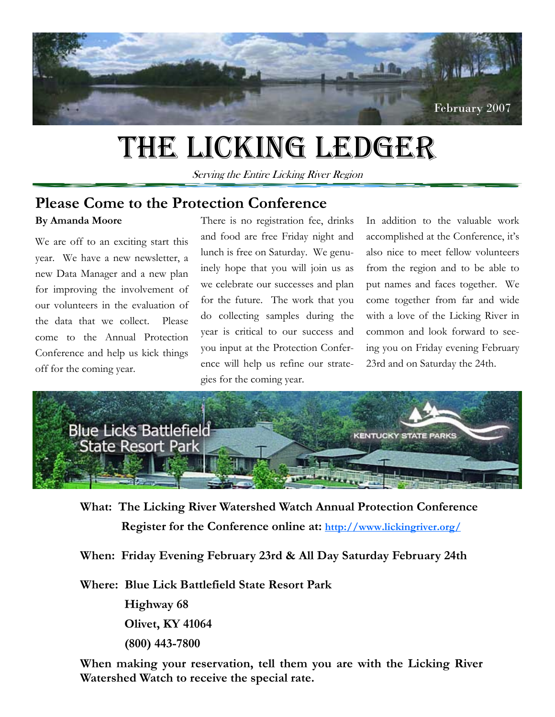

# THE LICKING LEDGER

Serving the Entire Licking River Region

#### **By Amanda Moore Please Come to the Protection Conference**

We are off to an exciting start this year. We have a new newsletter, a new Data Manager and a new plan for improving the involvement of our volunteers in the evaluation of the data that we collect. Please come to the Annual Protection Conference and help us kick things off for the coming year.

There is no registration fee, drinks and food are free Friday night and lunch is free on Saturday. We genuinely hope that you will join us as we celebrate our successes and plan for the future. The work that you do collecting samples during the year is critical to our success and you input at the Protection Conference will help us refine our strategies for the coming year.

In addition to the valuable work accomplished at the Conference, it's also nice to meet fellow volunteers from the region and to be able to put names and faces together. We come together from far and wide with a love of the Licking River in common and look forward to seeing you on Friday evening February 23rd and on Saturday the 24th.



**What: The Licking River Watershed Watch Annual Protection Conference Register for the Conference online at: http://www.lickingriver.org/**

**When: Friday Evening February 23rd & All Day Saturday February 24th** 

**Where: Blue Lick Battlefield State Resort Park** 

 **Highway 68 Olivet, KY 41064 (800) 443-7800** 

 **Watershed Watch to receive the special rate.When making your reservation, tell them you are with the Licking River**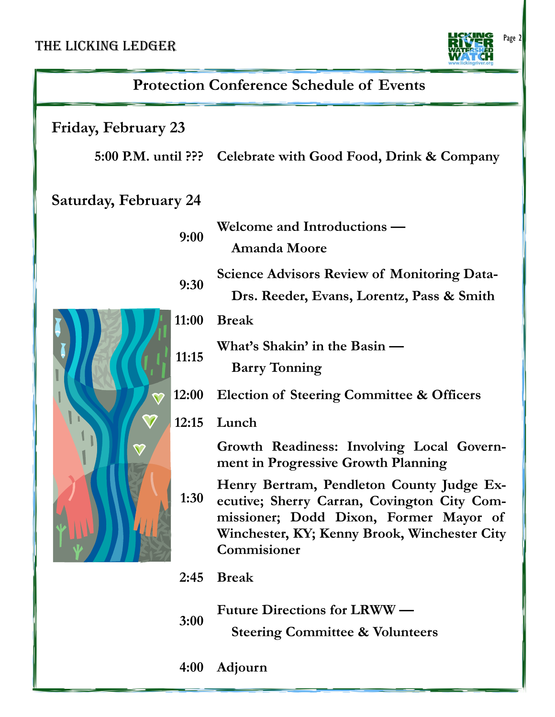#### THE LICKING LEDGER



| <b>Protection Conference Schedule of Events</b> |                                                                                                                                                                                                   |
|-------------------------------------------------|---------------------------------------------------------------------------------------------------------------------------------------------------------------------------------------------------|
| <b>Friday, February 23</b>                      |                                                                                                                                                                                                   |
|                                                 | 5:00 P.M. until ??? Celebrate with Good Food, Drink & Company                                                                                                                                     |
| <b>Saturday, February 24</b>                    |                                                                                                                                                                                                   |
| 9:00                                            | Welcome and Introductions —<br><b>Amanda Moore</b>                                                                                                                                                |
| 9:30                                            | <b>Science Advisors Review of Monitoring Data-</b><br>Drs. Reeder, Evans, Lorentz, Pass & Smith                                                                                                   |
| 11:00                                           | <b>Break</b>                                                                                                                                                                                      |
| 11:15                                           | What's Shakin' in the Basin -<br><b>Barry Tonning</b>                                                                                                                                             |
| 12:00                                           | <b>Election of Steering Committee &amp; Officers</b>                                                                                                                                              |
| 12:15                                           | Lunch                                                                                                                                                                                             |
|                                                 | Growth Readiness: Involving Local Govern-<br>ment in Progressive Growth Planning                                                                                                                  |
| 1:30                                            | Henry Bertram, Pendleton County Judge Ex-<br>ecutive; Sherry Carran, Covington City Com-<br>missioner; Dodd Dixon, Former Mayor of<br>Winchester, KY; Kenny Brook, Winchester City<br>Commisioner |
| 2:45                                            | <b>Break</b>                                                                                                                                                                                      |
| 3:00                                            | <b>Future Directions for LRWW —</b>                                                                                                                                                               |

 **Steering Committee & Volunteers** 

l

**4:00 Adjourn**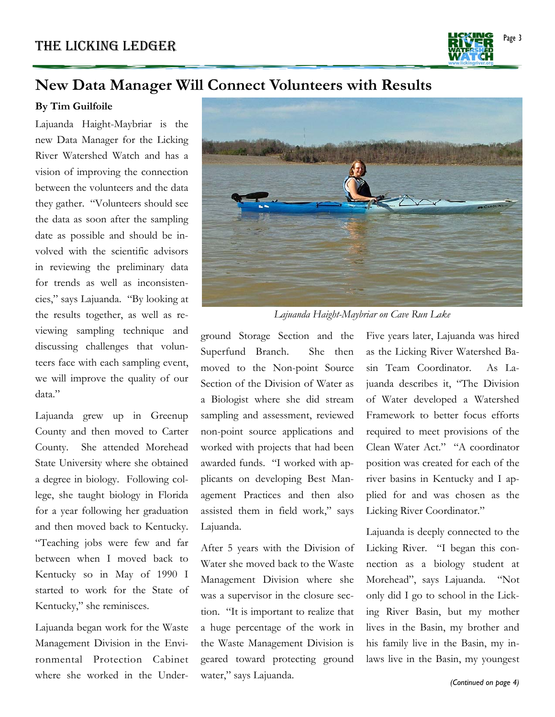Page 3

#### **New Data Manager Will Connect Volunteers with Results**

#### **By Tim Guilfoile**

Lajuanda Haight-Maybriar is the new Data Manager for the Licking River Watershed Watch and has a vision of improving the connection between the volunteers and the data they gather. "Volunteers should see the data as soon after the sampling date as possible and should be involved with the scientific advisors in reviewing the preliminary data for trends as well as inconsistencies," says Lajuanda. "By looking at the results together, as well as reviewing sampling technique and discussing challenges that volunteers face with each sampling event, we will improve the quality of our data."

Lajuanda grew up in Greenup County and then moved to Carter County. She attended Morehead State University where she obtained a degree in biology. Following college, she taught biology in Florida for a year following her graduation and then moved back to Kentucky. "Teaching jobs were few and far between when I moved back to Kentucky so in May of 1990 I started to work for the State of Kentucky," she reminisces.

Lajuanda began work for the Waste Management Division in the Environmental Protection Cabinet where she worked in the Under-



*Lajuanda Haight-Maybriar on Cave Run Lake* 

ground Storage Section and the Superfund Branch. She then moved to the Non-point Source Section of the Division of Water as a Biologist where she did stream sampling and assessment, reviewed non-point source applications and worked with projects that had been awarded funds. "I worked with applicants on developing Best Management Practices and then also assisted them in field work," says Lajuanda.

After 5 years with the Division of Water she moved back to the Waste Management Division where she was a supervisor in the closure section. "It is important to realize that a huge percentage of the work in the Waste Management Division is geared toward protecting ground water," says Lajuanda.

Five years later, Lajuanda was hired as the Licking River Watershed Basin Team Coordinator. As Lajuanda describes it, "The Division of Water developed a Watershed Framework to better focus efforts required to meet provisions of the Clean Water Act." "A coordinator position was created for each of the river basins in Kentucky and I applied for and was chosen as the Licking River Coordinator."

Lajuanda is deeply connected to the Licking River. "I began this connection as a biology student at Morehead", says Lajuanda. "Not only did I go to school in the Licking River Basin, but my mother lives in the Basin, my brother and his family live in the Basin, my inlaws live in the Basin, my youngest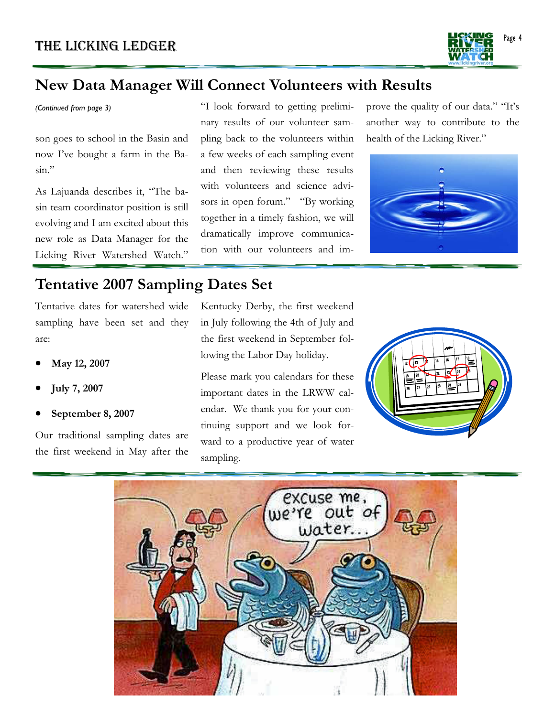

### **New Data Manager Will Connect Volunteers with Results**

*(Continued from page 3)* 

son goes to school in the Basin and now I've bought a farm in the Basin."

As Lajuanda describes it, "The basin team coordinator position is still evolving and I am excited about this new role as Data Manager for the Licking River Watershed Watch."

"I look forward to getting preliminary results of our volunteer sampling back to the volunteers within a few weeks of each sampling event and then reviewing these results with volunteers and science advisors in open forum." "By working together in a timely fashion, we will dramatically improve communication with our volunteers and improve the quality of our data." "It's another way to contribute to the health of the Licking River."



### **Tentative 2007 Sampling Dates Set**

Tentative dates for watershed wide sampling have been set and they are:

- **May 12, 2007**
- **July 7, 2007**
- **September 8, 2007**

Our traditional sampling dates are the first weekend in May after the

Kentucky Derby, the first weekend in July following the 4th of July and the first weekend in September following the Labor Day holiday.

Please mark you calendars for these important dates in the LRWW calendar. We thank you for your continuing support and we look forward to a productive year of water sampling.



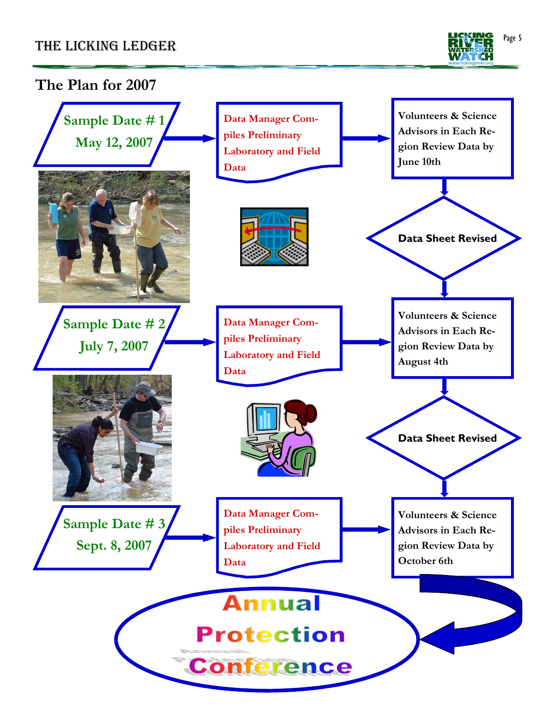

#### **The Plan for 2007 Volunteers & Science Data Manager Com-Sample Date # 1 Advisors in Each Repiles Preliminary May 12, 2007 gion Review Data by Laboratory and Field June 10th Data Data Sheet Revised Volunteers & Science Sample Date # 2 Data Manager Com-Advisors in Each Repiles Preliminary July 7, 2007 gion Review Data by Laboratory and Field August 4th Data Data Sheet Revised Data Manager Com-Volunteers & Science Sample Date # 3 piles Preliminary Advisors in Each Re-Sept. 8, 2007 Laboratory and Field gion Review Data by October 6th Data**  Annual **Protection Conference**  $\overline{a}$